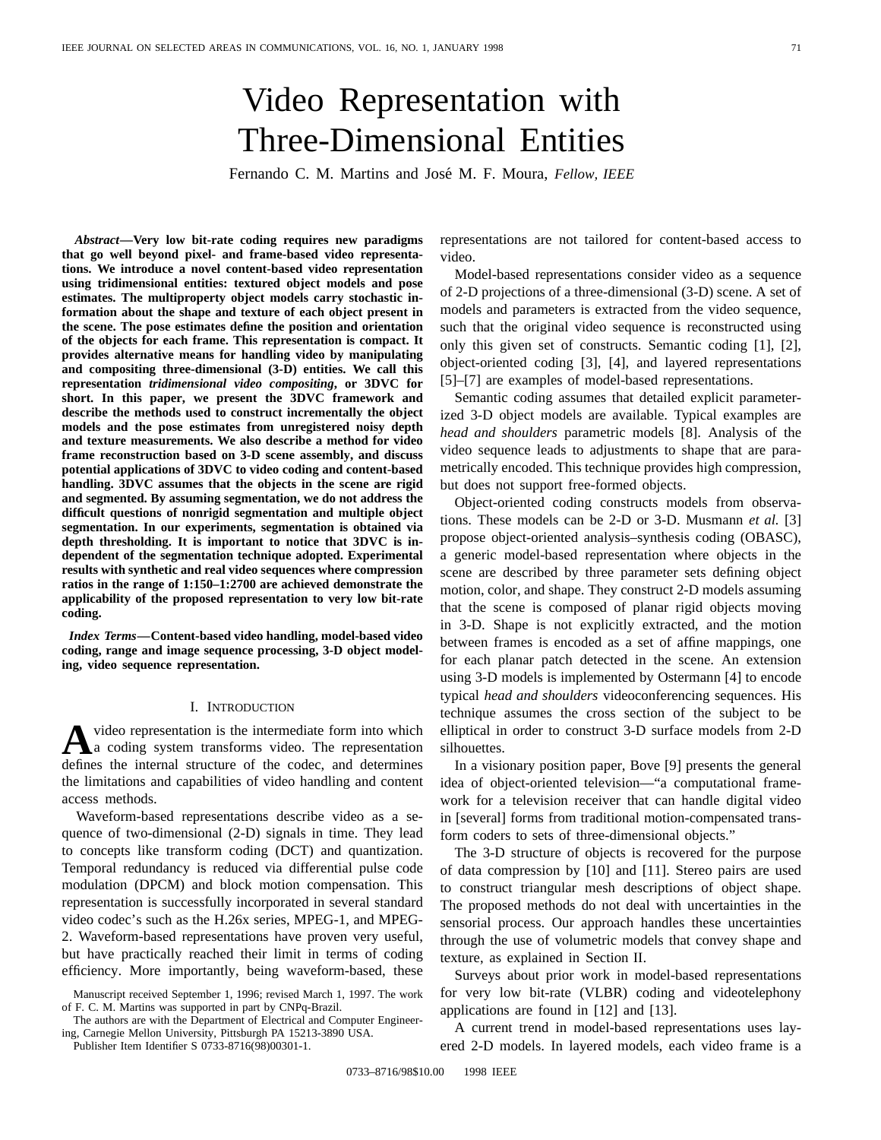# Video Representation with Three-Dimensional Entities

Fernando C. M. Martins and José M. F. Moura, *Fellow, IEEE* 

*Abstract—***Very low bit-rate coding requires new paradigms that go well beyond pixel- and frame-based video representations. We introduce a novel content-based video representation using tridimensional entities: textured object models and pose estimates. The multiproperty object models carry stochastic information about the shape and texture of each object present in the scene. The pose estimates define the position and orientation of the objects for each frame. This representation is compact. It provides alternative means for handling video by manipulating and compositing three-dimensional (3-D) entities. We call this representation** *tridimensional video compositing***, or 3DVC for short. In this paper, we present the 3DVC framework and describe the methods used to construct incrementally the object models and the pose estimates from unregistered noisy depth and texture measurements. We also describe a method for video frame reconstruction based on 3-D scene assembly, and discuss potential applications of 3DVC to video coding and content-based handling. 3DVC assumes that the objects in the scene are rigid and segmented. By assuming segmentation, we do not address the difficult questions of nonrigid segmentation and multiple object segmentation. In our experiments, segmentation is obtained via depth thresholding. It is important to notice that 3DVC is independent of the segmentation technique adopted. Experimental results with synthetic and real video sequences where compression ratios in the range of 1:150–1:2700 are achieved demonstrate the applicability of the proposed representation to very low bit-rate coding.**

*Index Terms—***Content-based video handling, model-based video coding, range and image sequence processing, 3-D object modeling, video sequence representation.**

### I. INTRODUCTION

A video representation is the intermediate form into which<br>a coding system transforms video. The representation defines the internal structure of the codec, and determines the limitations and capabilities of video handling and content access methods.

Waveform-based representations describe video as a sequence of two-dimensional (2-D) signals in time. They lead to concepts like transform coding (DCT) and quantization. Temporal redundancy is reduced via differential pulse code modulation (DPCM) and block motion compensation. This representation is successfully incorporated in several standard video codec's such as the H.26x series, MPEG-1, and MPEG-2. Waveform-based representations have proven very useful, but have practically reached their limit in terms of coding efficiency. More importantly, being waveform-based, these

The authors are with the Department of Electrical and Computer Engineering, Carnegie Mellon University, Pittsburgh PA 15213-3890 USA.

Publisher Item Identifier S 0733-8716(98)00301-1.

representations are not tailored for content-based access to video.

Model-based representations consider video as a sequence of 2-D projections of a three-dimensional (3-D) scene. A set of models and parameters is extracted from the video sequence, such that the original video sequence is reconstructed using only this given set of constructs. Semantic coding [1], [2], object-oriented coding [3], [4], and layered representations [5]–[7] are examples of model-based representations.

Semantic coding assumes that detailed explicit parameterized 3-D object models are available. Typical examples are *head and shoulders* parametric models [8]. Analysis of the video sequence leads to adjustments to shape that are parametrically encoded. This technique provides high compression, but does not support free-formed objects.

Object-oriented coding constructs models from observations. These models can be 2-D or 3-D. Musmann *et al.* [3] propose object-oriented analysis–synthesis coding (OBASC), a generic model-based representation where objects in the scene are described by three parameter sets defining object motion, color, and shape. They construct 2-D models assuming that the scene is composed of planar rigid objects moving in 3-D. Shape is not explicitly extracted, and the motion between frames is encoded as a set of affine mappings, one for each planar patch detected in the scene. An extension using 3-D models is implemented by Ostermann [4] to encode typical *head and shoulders* videoconferencing sequences. His technique assumes the cross section of the subject to be elliptical in order to construct 3-D surface models from 2-D silhouettes.

In a visionary position paper, Bove [9] presents the general idea of object-oriented television—"a computational framework for a television receiver that can handle digital video in [several] forms from traditional motion-compensated transform coders to sets of three-dimensional objects."

The 3-D structure of objects is recovered for the purpose of data compression by [10] and [11]. Stereo pairs are used to construct triangular mesh descriptions of object shape. The proposed methods do not deal with uncertainties in the sensorial process. Our approach handles these uncertainties through the use of volumetric models that convey shape and texture, as explained in Section II.

Surveys about prior work in model-based representations for very low bit-rate (VLBR) coding and videotelephony applications are found in [12] and [13].

A current trend in model-based representations uses layered 2-D models. In layered models, each video frame is a

Manuscript received September 1, 1996; revised March 1, 1997. The work of F. C. M. Martins was supported in part by CNPq-Brazil.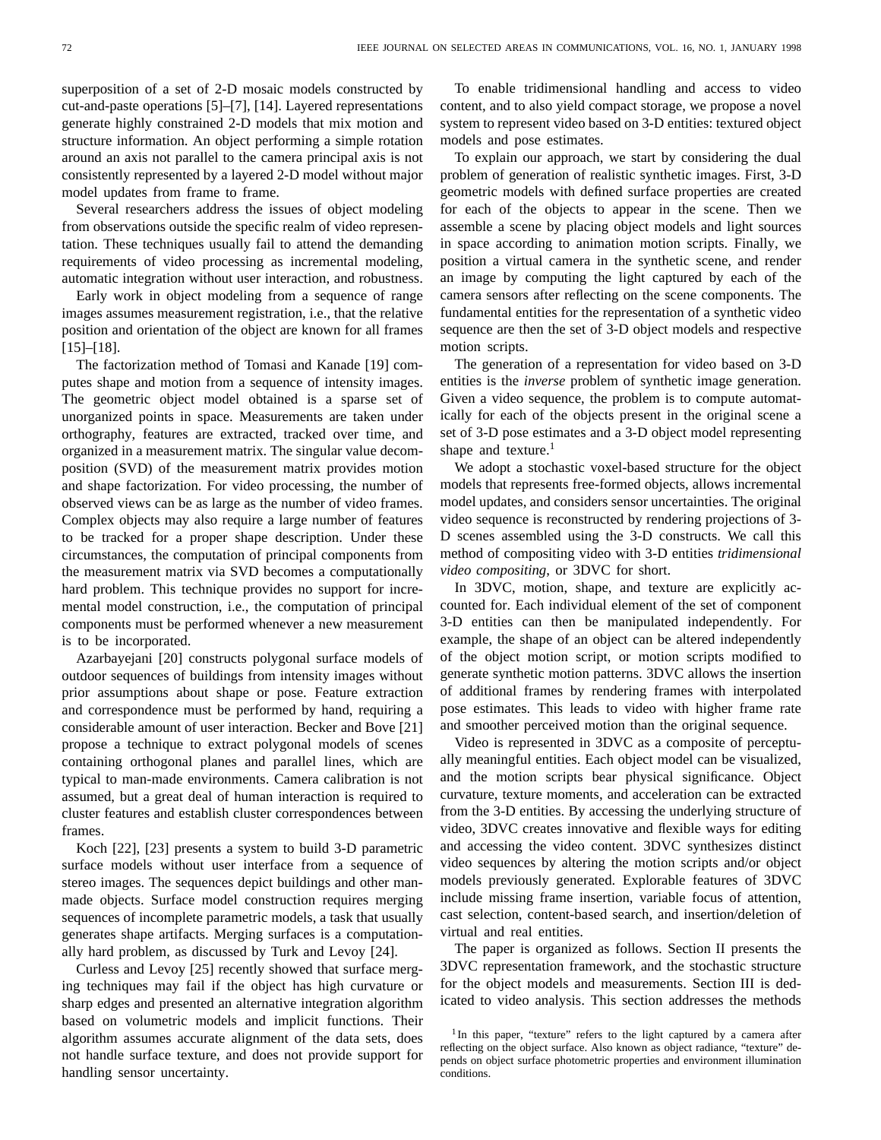superposition of a set of 2-D mosaic models constructed by cut-and-paste operations [5]–[7], [14]. Layered representations generate highly constrained 2-D models that mix motion and structure information. An object performing a simple rotation around an axis not parallel to the camera principal axis is not consistently represented by a layered 2-D model without major model updates from frame to frame.

Several researchers address the issues of object modeling from observations outside the specific realm of video representation. These techniques usually fail to attend the demanding requirements of video processing as incremental modeling, automatic integration without user interaction, and robustness.

Early work in object modeling from a sequence of range images assumes measurement registration, i.e., that the relative position and orientation of the object are known for all frames [15]–[18].

The factorization method of Tomasi and Kanade [19] computes shape and motion from a sequence of intensity images. The geometric object model obtained is a sparse set of unorganized points in space. Measurements are taken under orthography, features are extracted, tracked over time, and organized in a measurement matrix. The singular value decomposition (SVD) of the measurement matrix provides motion and shape factorization. For video processing, the number of observed views can be as large as the number of video frames. Complex objects may also require a large number of features to be tracked for a proper shape description. Under these circumstances, the computation of principal components from the measurement matrix via SVD becomes a computationally hard problem. This technique provides no support for incremental model construction, i.e., the computation of principal components must be performed whenever a new measurement is to be incorporated.

Azarbayejani [20] constructs polygonal surface models of outdoor sequences of buildings from intensity images without prior assumptions about shape or pose. Feature extraction and correspondence must be performed by hand, requiring a considerable amount of user interaction. Becker and Bove [21] propose a technique to extract polygonal models of scenes containing orthogonal planes and parallel lines, which are typical to man-made environments. Camera calibration is not assumed, but a great deal of human interaction is required to cluster features and establish cluster correspondences between frames.

Koch [22], [23] presents a system to build 3-D parametric surface models without user interface from a sequence of stereo images. The sequences depict buildings and other manmade objects. Surface model construction requires merging sequences of incomplete parametric models, a task that usually generates shape artifacts. Merging surfaces is a computationally hard problem, as discussed by Turk and Levoy [24].

Curless and Levoy [25] recently showed that surface merging techniques may fail if the object has high curvature or sharp edges and presented an alternative integration algorithm based on volumetric models and implicit functions. Their algorithm assumes accurate alignment of the data sets, does not handle surface texture, and does not provide support for handling sensor uncertainty.

To enable tridimensional handling and access to video content, and to also yield compact storage, we propose a novel system to represent video based on 3-D entities: textured object models and pose estimates.

To explain our approach, we start by considering the dual problem of generation of realistic synthetic images. First, 3-D geometric models with defined surface properties are created for each of the objects to appear in the scene. Then we assemble a scene by placing object models and light sources in space according to animation motion scripts. Finally, we position a virtual camera in the synthetic scene, and render an image by computing the light captured by each of the camera sensors after reflecting on the scene components. The fundamental entities for the representation of a synthetic video sequence are then the set of 3-D object models and respective motion scripts.

The generation of a representation for video based on 3-D entities is the *inverse* problem of synthetic image generation. Given a video sequence, the problem is to compute automatically for each of the objects present in the original scene a set of 3-D pose estimates and a 3-D object model representing shape and texture. $<sup>1</sup>$ </sup>

We adopt a stochastic voxel-based structure for the object models that represents free-formed objects, allows incremental model updates, and considers sensor uncertainties. The original video sequence is reconstructed by rendering projections of 3- D scenes assembled using the 3-D constructs. We call this method of compositing video with 3-D entities *tridimensional video compositing*, or 3DVC for short.

In 3DVC, motion, shape, and texture are explicitly accounted for. Each individual element of the set of component 3-D entities can then be manipulated independently. For example, the shape of an object can be altered independently of the object motion script, or motion scripts modified to generate synthetic motion patterns. 3DVC allows the insertion of additional frames by rendering frames with interpolated pose estimates. This leads to video with higher frame rate and smoother perceived motion than the original sequence.

Video is represented in 3DVC as a composite of perceptually meaningful entities. Each object model can be visualized, and the motion scripts bear physical significance. Object curvature, texture moments, and acceleration can be extracted from the 3-D entities. By accessing the underlying structure of video, 3DVC creates innovative and flexible ways for editing and accessing the video content. 3DVC synthesizes distinct video sequences by altering the motion scripts and/or object models previously generated. Explorable features of 3DVC include missing frame insertion, variable focus of attention, cast selection, content-based search, and insertion/deletion of virtual and real entities.

The paper is organized as follows. Section II presents the 3DVC representation framework, and the stochastic structure for the object models and measurements. Section III is dedicated to video analysis. This section addresses the methods

<sup>&</sup>lt;sup>1</sup>In this paper, "texture" refers to the light captured by a camera after reflecting on the object surface. Also known as object radiance, "texture" depends on object surface photometric properties and environment illumination conditions.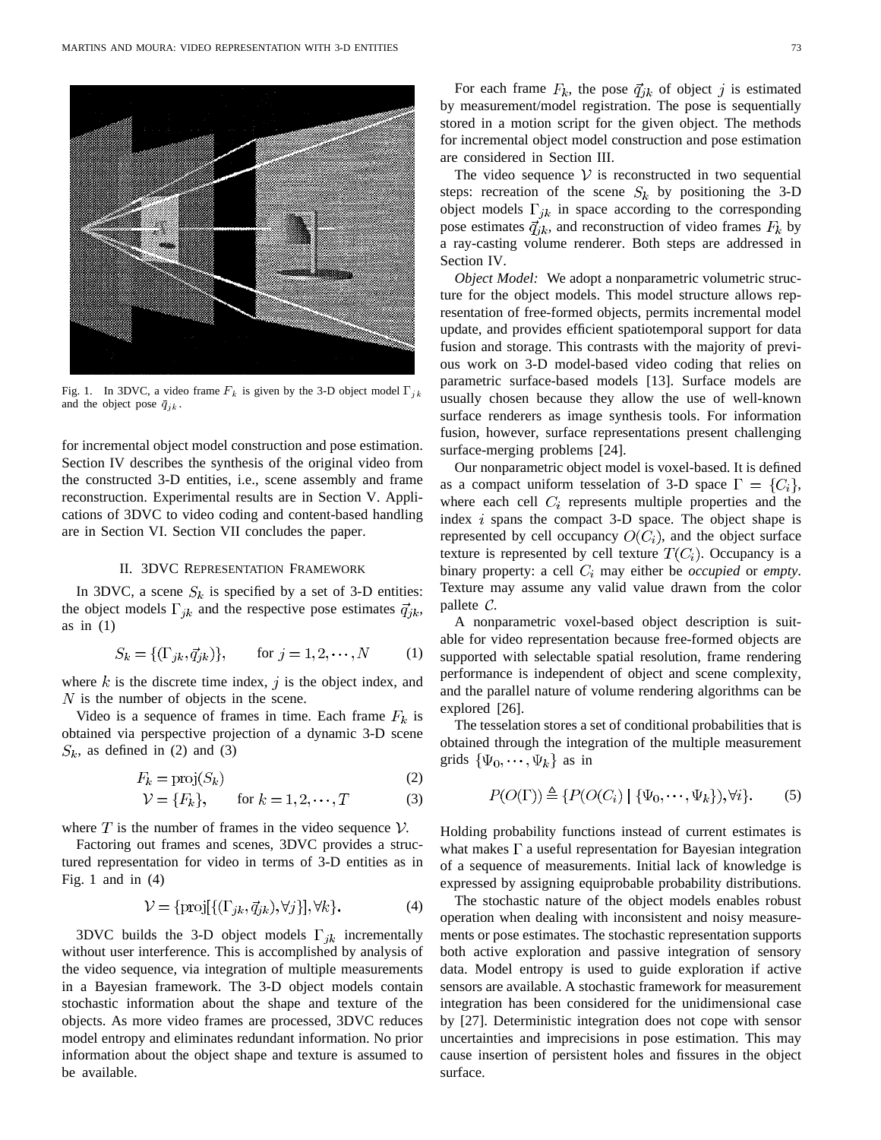

Fig. 1. In 3DVC, a video frame  $F_k$  is given by the 3-D object model  $\Gamma_{ik}$ and the object pose  $\bar{q}_{jk}$ .

for incremental object model construction and pose estimation. Section IV describes the synthesis of the original video from the constructed 3-D entities, i.e., scene assembly and frame reconstruction. Experimental results are in Section V. Applications of 3DVC to video coding and content-based handling are in Section VI. Section VII concludes the paper.

## II. 3DVC REPRESENTATION FRAMEWORK

In 3DVC, a scene  $S_k$  is specified by a set of 3-D entities: the object models  $\Gamma_{jk}$  and the respective pose estimates  $\vec{q}_{jk}$ , as in  $(1)$ 

$$
S_k = \{ (\Gamma_{jk}, \vec{q}_{jk}) \}, \qquad \text{for } j = 1, 2, \cdots, N \tag{1}
$$

where  $k$  is the discrete time index,  $j$  is the object index, and  $N$  is the number of objects in the scene.

Video is a sequence of frames in time. Each frame  $F_k$  is obtained via perspective projection of a dynamic 3-D scene  $S_k$ , as defined in (2) and (3)

$$
F_k = \text{proj}(S_k) \tag{2}
$$

$$
\mathcal{V} = \{F_k\}, \qquad \text{for } k = 1, 2, \cdots, T \tag{3}
$$

where T is the number of frames in the video sequence  $V$ .

Factoring out frames and scenes, 3DVC provides a structured representation for video in terms of 3-D entities as in Fig. 1 and in  $(4)$ 

$$
\mathcal{V} = \{proj[\{(\Gamma_{jk}, \vec{q}_{jk}), \forall j\}], \forall k\}.
$$
 (4)

3DVC builds the 3-D object models  $\Gamma_{jk}$  incrementally without user interference. This is accomplished by analysis of the video sequence, via integration of multiple measurements in a Bayesian framework. The 3-D object models contain stochastic information about the shape and texture of the objects. As more video frames are processed, 3DVC reduces model entropy and eliminates redundant information. No prior information about the object shape and texture is assumed to be available.

For each frame  $F_k$ , the pose  $\vec{q}_{jk}$  of object j is estimated by measurement/model registration. The pose is sequentially stored in a motion script for the given object. The methods for incremental object model construction and pose estimation are considered in Section III.

The video sequence  $V$  is reconstructed in two sequential steps: recreation of the scene  $S_k$  by positioning the 3-D object models  $\Gamma_{jk}$  in space according to the corresponding pose estimates  $\vec{q}_{jk}$ , and reconstruction of video frames  $F_k$  by a ray-casting volume renderer. Both steps are addressed in Section IV.

*Object Model:* We adopt a nonparametric volumetric structure for the object models. This model structure allows representation of free-formed objects, permits incremental model update, and provides efficient spatiotemporal support for data fusion and storage. This contrasts with the majority of previous work on 3-D model-based video coding that relies on parametric surface-based models [13]. Surface models are usually chosen because they allow the use of well-known surface renderers as image synthesis tools. For information fusion, however, surface representations present challenging surface-merging problems [24].

Our nonparametric object model is voxel-based. It is defined as a compact uniform tesselation of 3-D space  $\Gamma = \{C_i\},\$ where each cell  $C_i$  represents multiple properties and the index  $i$  spans the compact 3-D space. The object shape is represented by cell occupancy  $O(C_i)$ , and the object surface texture is represented by cell texture  $T(C_i)$ . Occupancy is a binary property: a cell  $C_i$  may either be *occupied* or *empty*. Texture may assume any valid value drawn from the color pallete  $C$ .

A nonparametric voxel-based object description is suitable for video representation because free-formed objects are supported with selectable spatial resolution, frame rendering performance is independent of object and scene complexity, and the parallel nature of volume rendering algorithms can be explored [26].

The tesselation stores a set of conditional probabilities that is obtained through the integration of the multiple measurement grids  $\{\Psi_0, \cdots, \Psi_k\}$  as in

$$
P(O(\Gamma)) \triangleq \{ P(O(C_i) \mid {\{\Psi_0, \cdots, \Psi_k\}}), \forall i \}.
$$
 (5)

Holding probability functions instead of current estimates is what makes  $\Gamma$  a useful representation for Bayesian integration of a sequence of measurements. Initial lack of knowledge is expressed by assigning equiprobable probability distributions.

The stochastic nature of the object models enables robust operation when dealing with inconsistent and noisy measurements or pose estimates. The stochastic representation supports both active exploration and passive integration of sensory data. Model entropy is used to guide exploration if active sensors are available. A stochastic framework for measurement integration has been considered for the unidimensional case by [27]. Deterministic integration does not cope with sensor uncertainties and imprecisions in pose estimation. This may cause insertion of persistent holes and fissures in the object surface.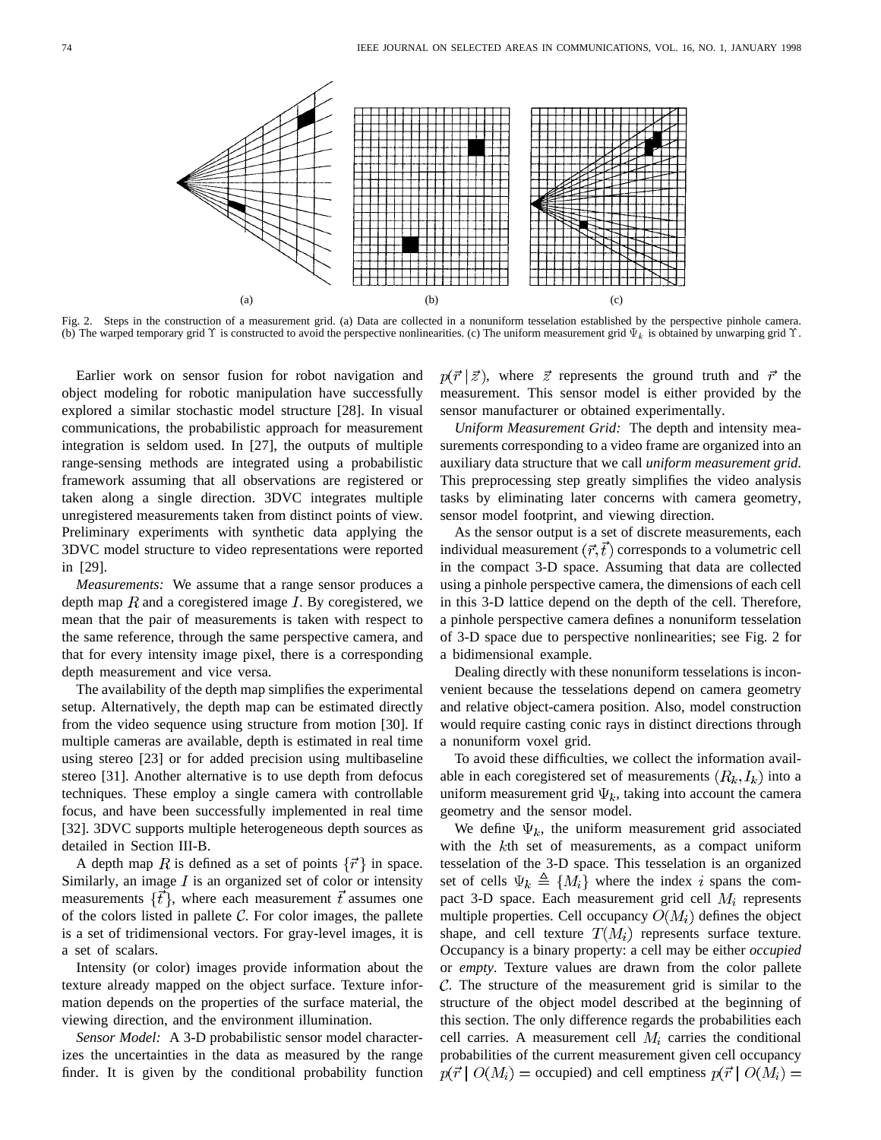

Fig. 2. Steps in the construction of a measurement grid. (a) Data are collected in a nonuniform tesselation established by the perspective pinhole camera. (b) The warped temporary grid  $\Upsilon$  is constructed to avoid the perspective nonlinearities. (c) The uniform measurement grid  $\Psi_k$  is obtained by unwarping grid  $\Upsilon$ .

Earlier work on sensor fusion for robot navigation and object modeling for robotic manipulation have successfully explored a similar stochastic model structure [28]. In visual communications, the probabilistic approach for measurement integration is seldom used. In [27], the outputs of multiple range-sensing methods are integrated using a probabilistic framework assuming that all observations are registered or taken along a single direction. 3DVC integrates multiple unregistered measurements taken from distinct points of view. Preliminary experiments with synthetic data applying the 3DVC model structure to video representations were reported in [29].

*Measurements:* We assume that a range sensor produces a depth map  $R$  and a coregistered image  $I$ . By coregistered, we mean that the pair of measurements is taken with respect to the same reference, through the same perspective camera, and that for every intensity image pixel, there is a corresponding depth measurement and vice versa.

The availability of the depth map simplifies the experimental setup. Alternatively, the depth map can be estimated directly from the video sequence using structure from motion [30]. If multiple cameras are available, depth is estimated in real time using stereo [23] or for added precision using multibaseline stereo [31]. Another alternative is to use depth from defocus techniques. These employ a single camera with controllable focus, and have been successfully implemented in real time [32]. 3DVC supports multiple heterogeneous depth sources as detailed in Section III-B.

A depth map R is defined as a set of points  $\{\vec{r}\}\$ in space. Similarly, an image  $I$  is an organized set of color or intensity measurements  $\{\vec{t}\}\$ , where each measurement  $\vec{t}$  assumes one of the colors listed in pallete  $C$ . For color images, the pallete is a set of tridimensional vectors. For gray-level images, it is a set of scalars.

Intensity (or color) images provide information about the texture already mapped on the object surface. Texture information depends on the properties of the surface material, the viewing direction, and the environment illumination.

*Sensor Model:* A 3-D probabilistic sensor model characterizes the uncertainties in the data as measured by the range finder. It is given by the conditional probability function  $p(\vec{r} | \vec{z})$ , where  $\vec{z}$  represents the ground truth and  $\vec{r}$  the measurement. This sensor model is either provided by the sensor manufacturer or obtained experimentally.

*Uniform Measurement Grid:* The depth and intensity measurements corresponding to a video frame are organized into an auxiliary data structure that we call *uniform measurement grid*. This preprocessing step greatly simplifies the video analysis tasks by eliminating later concerns with camera geometry, sensor model footprint, and viewing direction.

As the sensor output is a set of discrete measurements, each individual measurement  $(\vec{r}, \vec{t})$  corresponds to a volumetric cell in the compact 3-D space. Assuming that data are collected using a pinhole perspective camera, the dimensions of each cell in this 3-D lattice depend on the depth of the cell. Therefore, a pinhole perspective camera defines a nonuniform tesselation of 3-D space due to perspective nonlinearities; see Fig. 2 for a bidimensional example.

Dealing directly with these nonuniform tesselations is inconvenient because the tesselations depend on camera geometry and relative object-camera position. Also, model construction would require casting conic rays in distinct directions through a nonuniform voxel grid.

To avoid these difficulties, we collect the information available in each coregistered set of measurements  $(R_k, I_k)$  into a uniform measurement grid  $\Psi_k$ , taking into account the camera geometry and the sensor model.

We define  $\Psi_k$ , the uniform measurement grid associated with the  $k$ th set of measurements, as a compact uniform tesselation of the 3-D space. This tesselation is an organized set of cells  $\Psi_k \triangleq \{M_i\}$  where the index i spans the compact 3-D space. Each measurement grid cell  $M_i$  represents multiple properties. Cell occupancy  $O(M_i)$  defines the object shape, and cell texture  $T(M_i)$  represents surface texture. Occupancy is a binary property: a cell may be either *occupied* or *empty*. Texture values are drawn from the color pallete  $C$ . The structure of the measurement grid is similar to the structure of the object model described at the beginning of this section. The only difference regards the probabilities each cell carries. A measurement cell  $M_i$  carries the conditional probabilities of the current measurement given cell occupancy  $p(\vec{r} \mid O(M_i))$  = occupied) and cell emptiness  $p(\vec{r} \mid O(M_i))$  =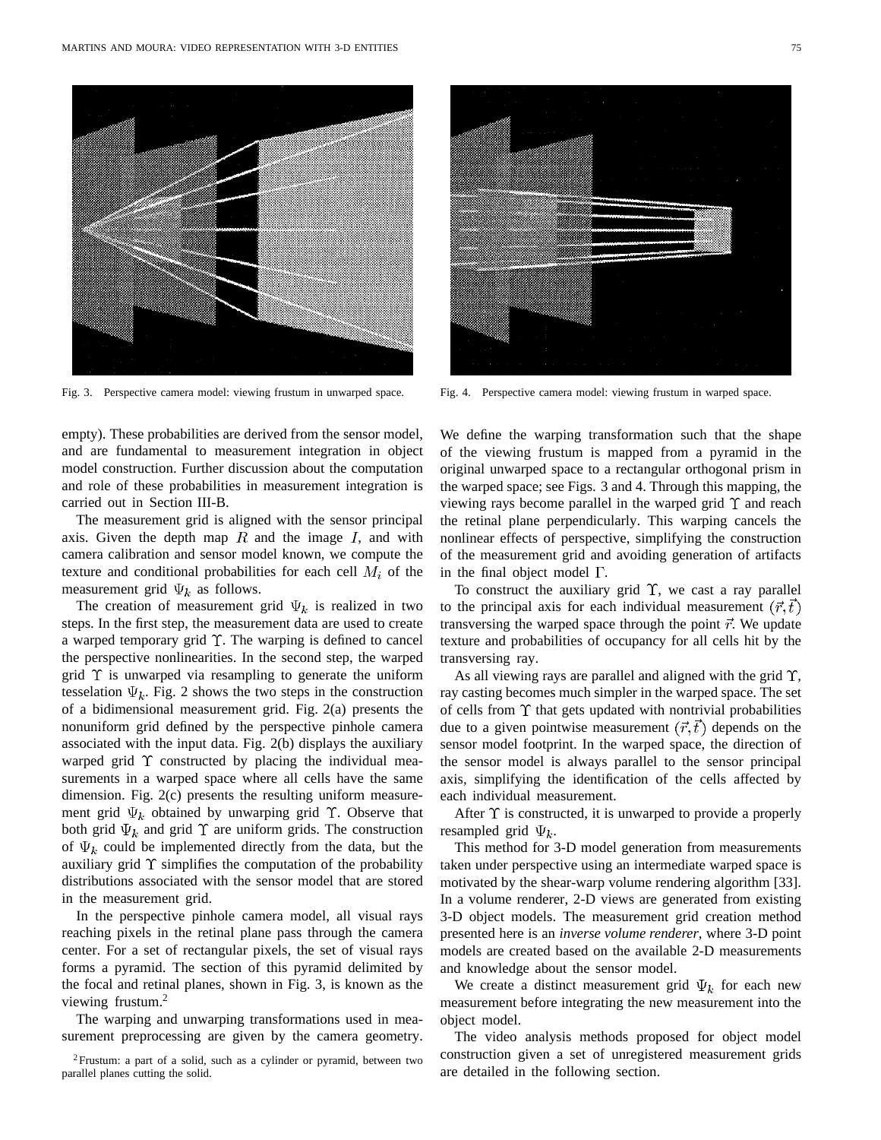

Fig. 3. Perspective camera model: viewing frustum in unwarped space.

empty). These probabilities are derived from the sensor model, and are fundamental to measurement integration in object model construction. Further discussion about the computation and role of these probabilities in measurement integration is carried out in Section III-B.

The measurement grid is aligned with the sensor principal axis. Given the depth map  $R$  and the image  $I$ , and with camera calibration and sensor model known, we compute the texture and conditional probabilities for each cell  $M_i$  of the measurement grid  $\Psi_k$  as follows.

The creation of measurement grid  $\Psi_k$  is realized in two steps. In the first step, the measurement data are used to create a warped temporary grid  $\Upsilon$ . The warping is defined to cancel the perspective nonlinearities. In the second step, the warped grid  $\Upsilon$  is unwarped via resampling to generate the uniform tesselation  $\Psi_k$ . Fig. 2 shows the two steps in the construction of a bidimensional measurement grid. Fig. 2(a) presents the nonuniform grid defined by the perspective pinhole camera associated with the input data. Fig. 2(b) displays the auxiliary warped grid  $\Upsilon$  constructed by placing the individual measurements in a warped space where all cells have the same dimension. Fig. 2(c) presents the resulting uniform measurement grid  $\Psi_k$  obtained by unwarping grid  $\Upsilon$ . Observe that both grid  $\Psi_k$  and grid  $\Upsilon$  are uniform grids. The construction of  $\Psi_k$  could be implemented directly from the data, but the auxiliary grid  $\Upsilon$  simplifies the computation of the probability distributions associated with the sensor model that are stored in the measurement grid.

In the perspective pinhole camera model, all visual rays reaching pixels in the retinal plane pass through the camera center. For a set of rectangular pixels, the set of visual rays forms a pyramid. The section of this pyramid delimited by the focal and retinal planes, shown in Fig. 3, is known as the viewing frustum.<sup>2</sup>

The warping and unwarping transformations used in measurement preprocessing are given by the camera geometry.



Fig. 4. Perspective camera model: viewing frustum in warped space.

We define the warping transformation such that the shape of the viewing frustum is mapped from a pyramid in the original unwarped space to a rectangular orthogonal prism in the warped space; see Figs. 3 and 4. Through this mapping, the viewing rays become parallel in the warped grid  $\Upsilon$  and reach the retinal plane perpendicularly. This warping cancels the nonlinear effects of perspective, simplifying the construction of the measurement grid and avoiding generation of artifacts in the final object model  $\Gamma$ .

To construct the auxiliary grid  $\Upsilon$ , we cast a ray parallel to the principal axis for each individual measurement  $(\vec{r}, \vec{t})$ transversing the warped space through the point  $\vec{r}$ . We update texture and probabilities of occupancy for all cells hit by the transversing ray.

As all viewing rays are parallel and aligned with the grid  $\Upsilon$ . ray casting becomes much simpler in the warped space. The set of cells from  $\Upsilon$  that gets updated with nontrivial probabilities due to a given pointwise measurement  $(\vec{r}, \vec{t})$  depends on the sensor model footprint. In the warped space, the direction of the sensor model is always parallel to the sensor principal axis, simplifying the identification of the cells affected by each individual measurement.

After  $\Upsilon$  is constructed, it is unwarped to provide a properly resampled grid  $\Psi_k$ .

This method for 3-D model generation from measurements taken under perspective using an intermediate warped space is motivated by the shear-warp volume rendering algorithm [33]. In a volume renderer, 2-D views are generated from existing 3-D object models. The measurement grid creation method presented here is an *inverse volume renderer*, where 3-D point models are created based on the available 2-D measurements and knowledge about the sensor model.

We create a distinct measurement grid  $\Psi_k$  for each new measurement before integrating the new measurement into the object model.

The video analysis methods proposed for object model construction given a set of unregistered measurement grids are detailed in the following section.

<sup>&</sup>lt;sup>2</sup> Frustum: a part of a solid, such as a cylinder or pyramid, between two parallel planes cutting the solid.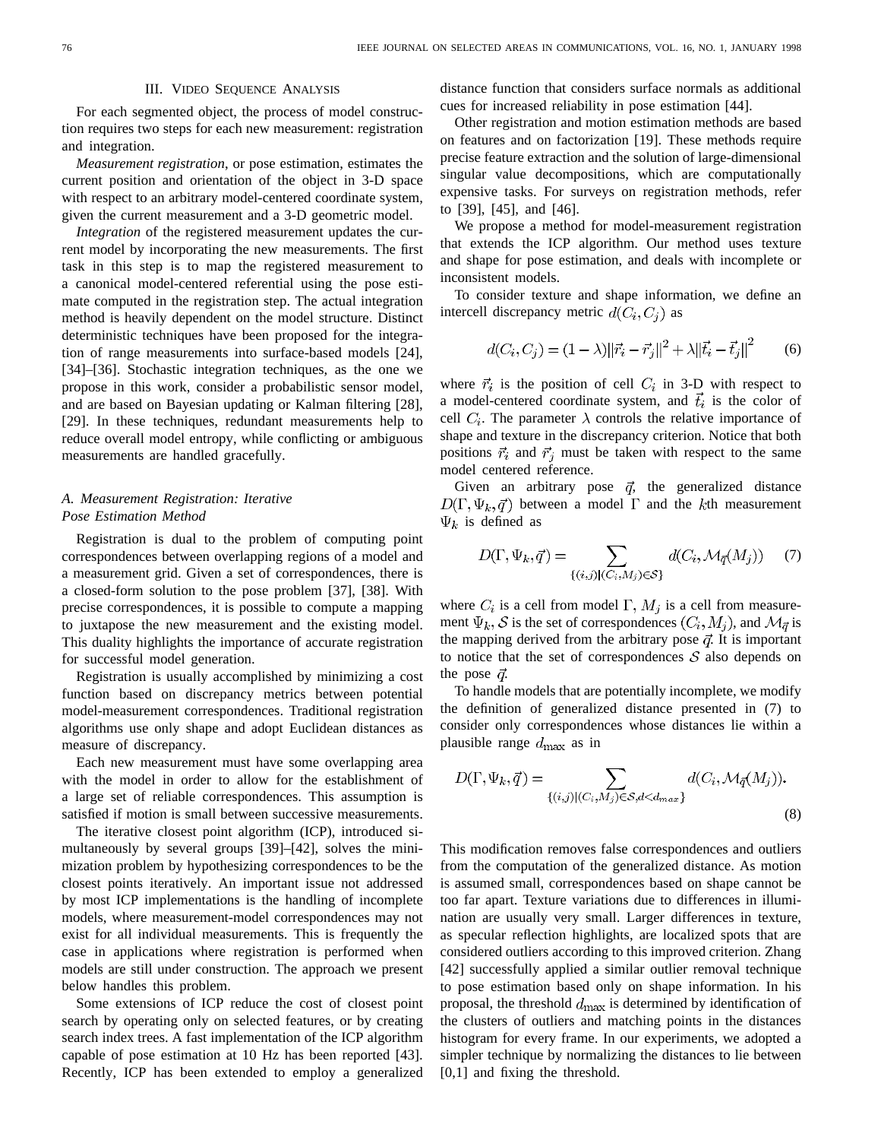#### III. VIDEO SEQUENCE ANALYSIS

For each segmented object, the process of model construction requires two steps for each new measurement: registration and integration.

*Measurement registration*, or pose estimation, estimates the current position and orientation of the object in 3-D space with respect to an arbitrary model-centered coordinate system, given the current measurement and a 3-D geometric model.

*Integration* of the registered measurement updates the current model by incorporating the new measurements. The first task in this step is to map the registered measurement to a canonical model-centered referential using the pose estimate computed in the registration step. The actual integration method is heavily dependent on the model structure. Distinct deterministic techniques have been proposed for the integration of range measurements into surface-based models [24], [34]–[36]. Stochastic integration techniques, as the one we propose in this work, consider a probabilistic sensor model, and are based on Bayesian updating or Kalman filtering [28], [29]. In these techniques, redundant measurements help to reduce overall model entropy, while conflicting or ambiguous measurements are handled gracefully.

# *A. Measurement Registration: Iterative Pose Estimation Method*

Registration is dual to the problem of computing point correspondences between overlapping regions of a model and a measurement grid. Given a set of correspondences, there is a closed-form solution to the pose problem [37], [38]. With precise correspondences, it is possible to compute a mapping to juxtapose the new measurement and the existing model. This duality highlights the importance of accurate registration for successful model generation.

Registration is usually accomplished by minimizing a cost function based on discrepancy metrics between potential model-measurement correspondences. Traditional registration algorithms use only shape and adopt Euclidean distances as measure of discrepancy.

Each new measurement must have some overlapping area with the model in order to allow for the establishment of a large set of reliable correspondences. This assumption is satisfied if motion is small between successive measurements.

The iterative closest point algorithm (ICP), introduced simultaneously by several groups [39]–[42], solves the minimization problem by hypothesizing correspondences to be the closest points iteratively. An important issue not addressed by most ICP implementations is the handling of incomplete models, where measurement-model correspondences may not exist for all individual measurements. This is frequently the case in applications where registration is performed when models are still under construction. The approach we present below handles this problem.

Some extensions of ICP reduce the cost of closest point search by operating only on selected features, or by creating search index trees. A fast implementation of the ICP algorithm capable of pose estimation at 10 Hz has been reported [43]. Recently, ICP has been extended to employ a generalized distance function that considers surface normals as additional cues for increased reliability in pose estimation [44].

Other registration and motion estimation methods are based on features and on factorization [19]. These methods require precise feature extraction and the solution of large-dimensional singular value decompositions, which are computationally expensive tasks. For surveys on registration methods, refer to [39], [45], and [46].

We propose a method for model-measurement registration that extends the ICP algorithm. Our method uses texture and shape for pose estimation, and deals with incomplete or inconsistent models.

To consider texture and shape information, we define an intercell discrepancy metric  $d(C_i, C_i)$  as

$$
d(C_i, C_j) = (1 - \lambda) ||\vec{r}_i - \vec{r}_j||^2 + \lambda ||\vec{t}_i - \vec{t}_j||^2 \qquad (6)
$$

where  $\vec{r}_i$  is the position of cell  $C_i$  in 3-D with respect to a model-centered coordinate system, and  $\vec{t}_i$  is the color of cell  $C_i$ . The parameter  $\lambda$  controls the relative importance of shape and texture in the discrepancy criterion. Notice that both positions  $\vec{r}_i$  and  $\vec{r}_j$  must be taken with respect to the same model centered reference.

Given an arbitrary pose  $\vec{q}$ , the generalized distance  $D(\Gamma, \Psi_k, \vec{q})$  between a model  $\Gamma$  and the kth measurement  $\Psi_k$  is defined as

$$
D(\Gamma, \Psi_k, \vec{q}) = \sum_{\{(i,j) | (C_i, M_j) \in \mathcal{S}\}} d(C_i, \mathcal{M}_{\vec{q}}(M_j)) \tag{7}
$$

where  $C_i$  is a cell from model  $\Gamma$ ,  $M_j$  is a cell from measurement  $\Psi_k$ , S is the set of correspondences  $(C_i, M_i)$ , and  $\mathcal{M}_{\vec{q}}$  is the mapping derived from the arbitrary pose  $\vec{q}$ . It is important to notice that the set of correspondences  $S$  also depends on the pose  $\vec{q}$ .

To handle models that are potentially incomplete, we modify the definition of generalized distance presented in (7) to consider only correspondences whose distances lie within a plausible range  $d_{\text{max}}$  as in

$$
D(\Gamma, \Psi_k, \vec{q}) = \sum_{\{(i,j) | (C_i, M_j) \in \mathcal{S}, d < d_{max}\}} d(C_i, \mathcal{M}_{\vec{q}}(M_j)).
$$
\n<sup>(8)</sup>

This modification removes false correspondences and outliers from the computation of the generalized distance. As motion is assumed small, correspondences based on shape cannot be too far apart. Texture variations due to differences in illumination are usually very small. Larger differences in texture, as specular reflection highlights, are localized spots that are considered outliers according to this improved criterion. Zhang [42] successfully applied a similar outlier removal technique to pose estimation based only on shape information. In his proposal, the threshold  $d_{\text{max}}$  is determined by identification of the clusters of outliers and matching points in the distances histogram for every frame. In our experiments, we adopted a simpler technique by normalizing the distances to lie between [0,1] and fixing the threshold.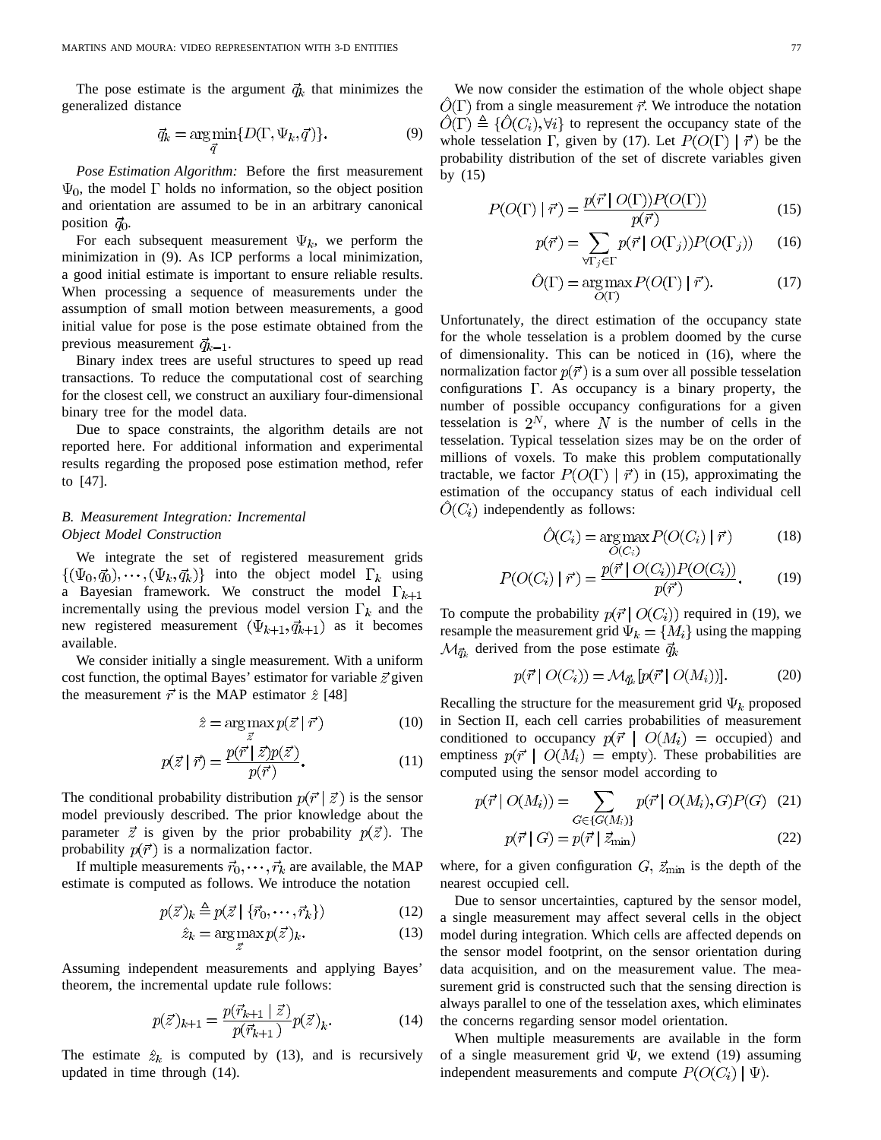The pose estimate is the argument  $\vec{q}_k$  that minimizes the generalized distance

$$
\vec{q}_k = \underset{\vec{q}}{\arg \min} \{ D(\Gamma, \Psi_k, \vec{q}) \}. \tag{9}
$$

*Pose Estimation Algorithm:* Before the first measurement  $\Psi_0$ , the model  $\Gamma$  holds no information, so the object position and orientation are assumed to be in an arbitrary canonical position  $\vec{q}_0$ .

For each subsequent measurement  $\Psi_k$ , we perform the minimization in (9). As ICP performs a local minimization, a good initial estimate is important to ensure reliable results. When processing a sequence of measurements under the assumption of small motion between measurements, a good initial value for pose is the pose estimate obtained from the previous measurement  $\vec{q}_{k-1}$ .

Binary index trees are useful structures to speed up read transactions. To reduce the computational cost of searching for the closest cell, we construct an auxiliary four-dimensional binary tree for the model data.

Due to space constraints, the algorithm details are not reported here. For additional information and experimental results regarding the proposed pose estimation method, refer to [47].

# *B. Measurement Integration: Incremental Object Model Construction*

We integrate the set of registered measurement grids  $\{(\Psi_0, \vec{q}_0), \cdots, (\Psi_k, \vec{q}_k)\}\$ into the object model  $\Gamma_k$  using a Bayesian framework. We construct the model  $\Gamma_{k+1}$ incrementally using the previous model version  $\Gamma_k$  and the new registered measurement  $(\Psi_{k+1}, \vec{q}_{k+1})$  as it becomes available.

We consider initially a single measurement. With a uniform cost function, the optimal Bayes' estimator for variable  $\vec{z}$  given the measurement  $\vec{r}$  is the MAP estimator  $\hat{z}$  [48]

$$
\hat{z} = \underset{\vec{z}}{\arg\max} p(\vec{z} \mid \vec{r}) \tag{10}
$$

$$
p(\vec{z} \mid \vec{r}) = \frac{p(\vec{r} \mid \vec{z})p(\vec{z})}{p(\vec{r})}.
$$
\n(11)

The conditional probability distribution  $p(\vec{r} | \vec{z})$  is the sensor model previously described. The prior knowledge about the parameter  $\vec{z}$  is given by the prior probability  $p(\vec{z})$ . The probability  $p(\vec{r})$  is a normalization factor.

If multiple measurements  $\vec{r}_0, \dots, \vec{r}_k$  are available, the MAP estimate is computed as follows. We introduce the notation

$$
p(\vec{z})_k \triangleq p(\vec{z} \mid \{\vec{r}_0, \cdots, \vec{r}_k\}) \tag{12}
$$

$$
\hat{z}_k = \arg\max_{\vec{z}} p(\vec{z})_k. \tag{13}
$$

Assuming independent measurements and applying Bayes' theorem, the incremental update rule follows:

$$
p(\vec{z})_{k+1} = \frac{p(\vec{r}_{k+1} \mid \vec{z})}{p(\vec{r}_{k+1})} p(\vec{z})_k.
$$
 (14)

The estimate  $\hat{z}_k$  is computed by (13), and is recursively updated in time through (14).

We now consider the estimation of the whole object shape  $\hat{O}(\Gamma)$  from a single measurement  $\vec{r}$ . We introduce the notation  $\hat{O}(\Gamma) \triangleq \{ \hat{O}(C_i), \forall i \}$  to represent the occupancy state of the whole tesselation  $\Gamma$ , given by (17). Let  $P(O(\Gamma) | \vec{r})$  be the probability distribution of the set of discrete variables given by (15)

$$
P(O(\Gamma) \mid \vec{r}) = \frac{p(\vec{r} \mid O(\Gamma)) P(O(\Gamma))}{p(\vec{r})}
$$
(15)

$$
p(\vec{r}) = \sum_{\forall \Gamma_j \in \Gamma} p(\vec{r} \mid O(\Gamma_j)) P(O(\Gamma_j)) \qquad (16)
$$

$$
\hat{O}(\Gamma) = \underset{O(\Gamma)}{\arg \max} P(O(\Gamma) | \vec{\tau}). \tag{17}
$$

Unfortunately, the direct estimation of the occupancy state for the whole tesselation is a problem doomed by the curse of dimensionality. This can be noticed in (16), where the normalization factor  $p(\vec{r})$  is a sum over all possible tesselation configurations  $\Gamma$ . As occupancy is a binary property, the number of possible occupancy configurations for a given tesselation is  $2^N$ , where N is the number of cells in the tesselation. Typical tesselation sizes may be on the order of millions of voxels. To make this problem computationally tractable, we factor  $P(O(\Gamma) | \vec{r})$  in (15), approximating the estimation of the occupancy status of each individual cell  $\ddot{O}(C_i)$  independently as follows:

$$
\hat{O}(C_i) = \underset{O(C_i)}{\arg \max} P(O(C_i) | \vec{r}) \tag{18}
$$

$$
P(O(C_i) | \vec{r}) = \frac{p(\vec{r} | O(C_i))P(O(C_i))}{p(\vec{r})}.
$$
 (19)

To compute the probability  $p(\vec{r} \mid O(C_i))$  required in (19), we resample the measurement grid  $\Psi_k = \{M_i\}$  using the mapping  $\mathcal{M}_{\vec{q}_k}$  derived from the pose estimate  $\vec{q}_k$ 

$$
p(\vec{r} \mid O(C_i)) = \mathcal{M}_{\vec{q}_k}[p(\vec{r} \mid O(M_i))]. \tag{20}
$$

Recalling the structure for the measurement grid  $\Psi_k$  proposed in Section II, each cell carries probabilities of measurement conditioned to occupancy  $p(\vec{r} \mid O(M_i)) =$  occupied) and emptiness  $p(\vec{r} \mid O(M_i) = \text{empty})$ . These probabilities are computed using the sensor model according to

$$
p(\vec{r} \mid O(M_i)) = \sum_{G \in \{G(M_i)\}} p(\vec{r} \mid O(M_i), G)P(G) \quad (21)
$$

$$
p(\vec{r} \mid G) = p(\vec{r} \mid \vec{z}_{\text{min}}) \tag{22}
$$

where, for a given configuration  $G, \vec{z}_{min}$  is the depth of the nearest occupied cell.

Due to sensor uncertainties, captured by the sensor model, a single measurement may affect several cells in the object model during integration. Which cells are affected depends on the sensor model footprint, on the sensor orientation during data acquisition, and on the measurement value. The measurement grid is constructed such that the sensing direction is always parallel to one of the tesselation axes, which eliminates the concerns regarding sensor model orientation.

When multiple measurements are available in the form of a single measurement grid  $\Psi$ , we extend (19) assuming independent measurements and compute  $P(O(C_i) | \Psi)$ .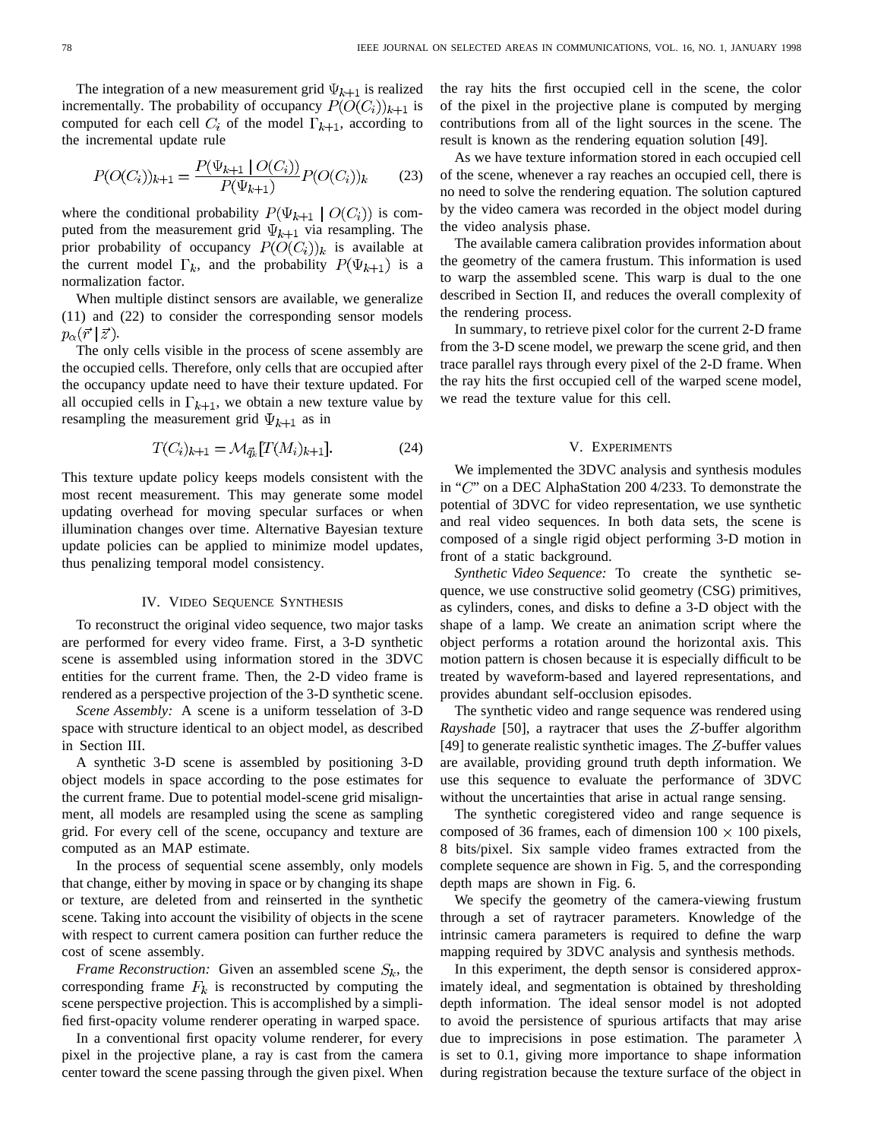The integration of a new measurement grid  $\Psi_{k+1}$  is realized incrementally. The probability of occupancy  $P(O(C_i))_{k+1}$  is computed for each cell  $C_i$  of the model  $\Gamma_{k+1}$ , according to the incremental update rule

$$
P(O(C_i))_{k+1} = \frac{P(\Psi_{k+1} | O(C_i))}{P(\Psi_{k+1})} P(O(C_i))_k
$$
 (23)

where the conditional probability  $P(\Psi_{k+1} | O(C_i))$  is computed from the measurement grid  $\Psi_{k+1}$  via resampling. The prior probability of occupancy  $P(O(C_i))_k$  is available at the current model  $\Gamma_k$ , and the probability  $P(\Psi_{k+1})$  is a normalization factor.

When multiple distinct sensors are available, we generalize (11) and (22) to consider the corresponding sensor models  $p_{\alpha}(\vec{r} \mid \vec{z}).$ 

The only cells visible in the process of scene assembly are the occupied cells. Therefore, only cells that are occupied after the occupancy update need to have their texture updated. For all occupied cells in  $\Gamma_{k+1}$ , we obtain a new texture value by resampling the measurement grid  $\Psi_{k+1}$  as in

$$
T(C_i)_{k+1} = \mathcal{M}_{\vec{q}_k}[T(M_i)_{k+1}].
$$
 (24)

This texture update policy keeps models consistent with the most recent measurement. This may generate some model updating overhead for moving specular surfaces or when illumination changes over time. Alternative Bayesian texture update policies can be applied to minimize model updates, thus penalizing temporal model consistency.

## IV. VIDEO SEQUENCE SYNTHESIS

To reconstruct the original video sequence, two major tasks are performed for every video frame. First, a 3-D synthetic scene is assembled using information stored in the 3DVC entities for the current frame. Then, the 2-D video frame is rendered as a perspective projection of the 3-D synthetic scene.

*Scene Assembly:* A scene is a uniform tesselation of 3-D space with structure identical to an object model, as described in Section III.

A synthetic 3-D scene is assembled by positioning 3-D object models in space according to the pose estimates for the current frame. Due to potential model-scene grid misalignment, all models are resampled using the scene as sampling grid. For every cell of the scene, occupancy and texture are computed as an MAP estimate.

In the process of sequential scene assembly, only models that change, either by moving in space or by changing its shape or texture, are deleted from and reinserted in the synthetic scene. Taking into account the visibility of objects in the scene with respect to current camera position can further reduce the cost of scene assembly.

*Frame Reconstruction:* Given an assembled scene  $S_k$ , the corresponding frame  $F_k$  is reconstructed by computing the scene perspective projection. This is accomplished by a simplified first-opacity volume renderer operating in warped space.

In a conventional first opacity volume renderer, for every pixel in the projective plane, a ray is cast from the camera center toward the scene passing through the given pixel. When the ray hits the first occupied cell in the scene, the color of the pixel in the projective plane is computed by merging contributions from all of the light sources in the scene. The result is known as the rendering equation solution [49].

As we have texture information stored in each occupied cell of the scene, whenever a ray reaches an occupied cell, there is no need to solve the rendering equation. The solution captured by the video camera was recorded in the object model during the video analysis phase.

The available camera calibration provides information about the geometry of the camera frustum. This information is used to warp the assembled scene. This warp is dual to the one described in Section II, and reduces the overall complexity of the rendering process.

In summary, to retrieve pixel color for the current 2-D frame from the 3-D scene model, we prewarp the scene grid, and then trace parallel rays through every pixel of the 2-D frame. When the ray hits the first occupied cell of the warped scene model, we read the texture value for this cell.

#### V. EXPERIMENTS

We implemented the 3DVC analysis and synthesis modules in " $C$ " on a DEC AlphaStation 200 4/233. To demonstrate the potential of 3DVC for video representation, we use synthetic and real video sequences. In both data sets, the scene is composed of a single rigid object performing 3-D motion in front of a static background.

*Synthetic Video Sequence:* To create the synthetic sequence, we use constructive solid geometry (CSG) primitives, as cylinders, cones, and disks to define a 3-D object with the shape of a lamp. We create an animation script where the object performs a rotation around the horizontal axis. This motion pattern is chosen because it is especially difficult to be treated by waveform-based and layered representations, and provides abundant self-occlusion episodes.

The synthetic video and range sequence was rendered using *Rayshade* [50], a raytracer that uses the  $Z$ -buffer algorithm [49] to generate realistic synthetic images. The  $Z$ -buffer values are available, providing ground truth depth information. We use this sequence to evaluate the performance of 3DVC without the uncertainties that arise in actual range sensing.

The synthetic coregistered video and range sequence is composed of 36 frames, each of dimension  $100 \times 100$  pixels, 8 bits/pixel. Six sample video frames extracted from the complete sequence are shown in Fig. 5, and the corresponding depth maps are shown in Fig. 6.

We specify the geometry of the camera-viewing frustum through a set of raytracer parameters. Knowledge of the intrinsic camera parameters is required to define the warp mapping required by 3DVC analysis and synthesis methods.

In this experiment, the depth sensor is considered approximately ideal, and segmentation is obtained by thresholding depth information. The ideal sensor model is not adopted to avoid the persistence of spurious artifacts that may arise due to imprecisions in pose estimation. The parameter  $\lambda$ is set to 0.1, giving more importance to shape information during registration because the texture surface of the object in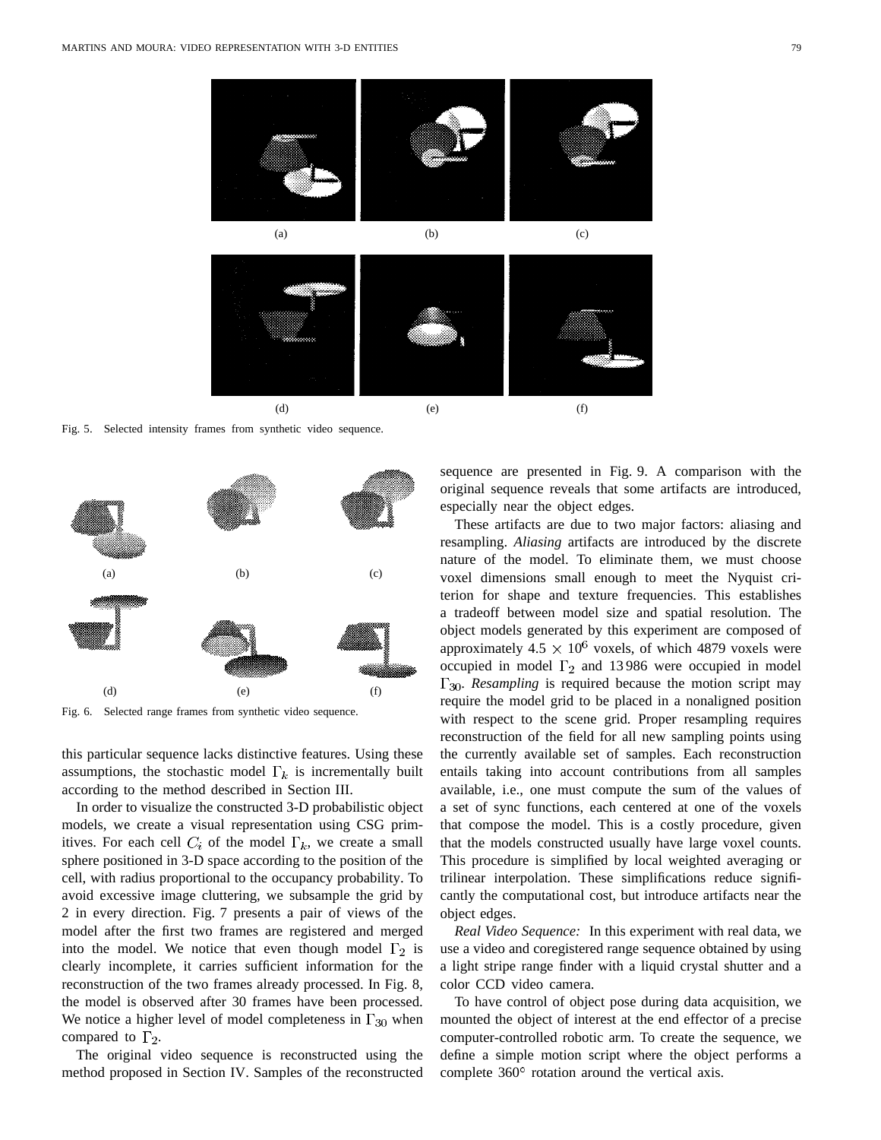

Fig. 5. Selected intensity frames from synthetic video sequence.



Fig. 6. Selected range frames from synthetic video sequence.

this particular sequence lacks distinctive features. Using these assumptions, the stochastic model  $\Gamma_k$  is incrementally built according to the method described in Section III.

In order to visualize the constructed 3-D probabilistic object models, we create a visual representation using CSG primitives. For each cell  $C_i$  of the model  $\Gamma_k$ , we create a small sphere positioned in 3-D space according to the position of the cell, with radius proportional to the occupancy probability. To avoid excessive image cluttering, we subsample the grid by 2 in every direction. Fig. 7 presents a pair of views of the model after the first two frames are registered and merged into the model. We notice that even though model  $\Gamma_2$  is clearly incomplete, it carries sufficient information for the reconstruction of the two frames already processed. In Fig. 8, the model is observed after 30 frames have been processed. We notice a higher level of model completeness in  $\Gamma_{30}$  when compared to  $\Gamma_2$ .

The original video sequence is reconstructed using the method proposed in Section IV. Samples of the reconstructed sequence are presented in Fig. 9. A comparison with the original sequence reveals that some artifacts are introduced, especially near the object edges.

These artifacts are due to two major factors: aliasing and resampling. *Aliasing* artifacts are introduced by the discrete nature of the model. To eliminate them, we must choose voxel dimensions small enough to meet the Nyquist criterion for shape and texture frequencies. This establishes a tradeoff between model size and spatial resolution. The object models generated by this experiment are composed of approximately 4.5  $\times$  10<sup>6</sup> voxels, of which 4879 voxels were occupied in model  $\Gamma_2$  and 13 986 were occupied in model  $\Gamma_{30}$ . *Resampling* is required because the motion script may require the model grid to be placed in a nonaligned position with respect to the scene grid. Proper resampling requires reconstruction of the field for all new sampling points using the currently available set of samples. Each reconstruction entails taking into account contributions from all samples available, i.e., one must compute the sum of the values of a set of sync functions, each centered at one of the voxels that compose the model. This is a costly procedure, given that the models constructed usually have large voxel counts. This procedure is simplified by local weighted averaging or trilinear interpolation. These simplifications reduce significantly the computational cost, but introduce artifacts near the object edges.

*Real Video Sequence:* In this experiment with real data, we use a video and coregistered range sequence obtained by using a light stripe range finder with a liquid crystal shutter and a color CCD video camera.

To have control of object pose during data acquisition, we mounted the object of interest at the end effector of a precise computer-controlled robotic arm. To create the sequence, we define a simple motion script where the object performs a complete  $360^{\circ}$  rotation around the vertical axis.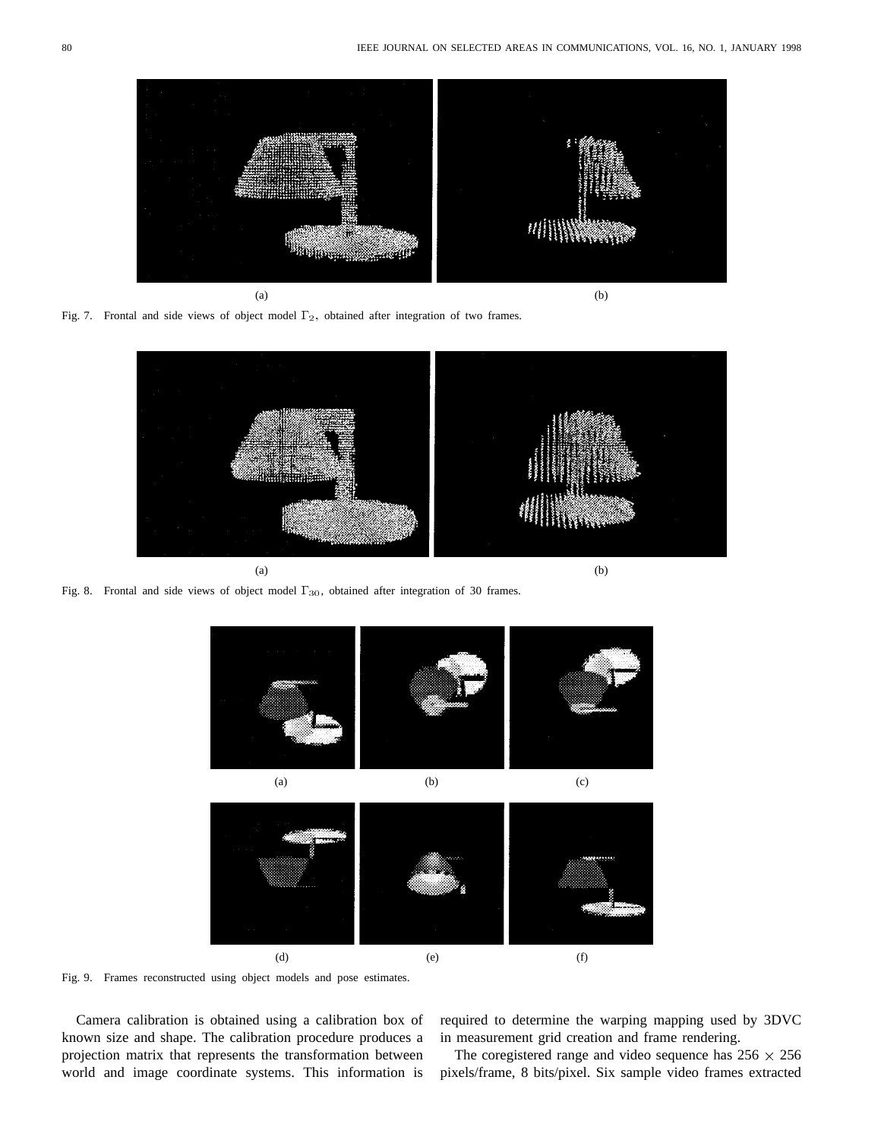

Fig. 7. Frontal and side views of object model  $\Gamma_2$ , obtained after integration of two frames.



 $(a)$  (b)

Fig. 8. Frontal and side views of object model  $\Gamma_{30}$ , obtained after integration of 30 frames.



Fig. 9. Frames reconstructed using object models and pose estimates.

Camera calibration is obtained using a calibration box of known size and shape. The calibration procedure produces a projection matrix that represents the transformation between world and image coordinate systems. This information is required to determine the warping mapping used by 3DVC in measurement grid creation and frame rendering.

The coregistered range and video sequence has  $256 \times 256$ pixels/frame, 8 bits/pixel. Six sample video frames extracted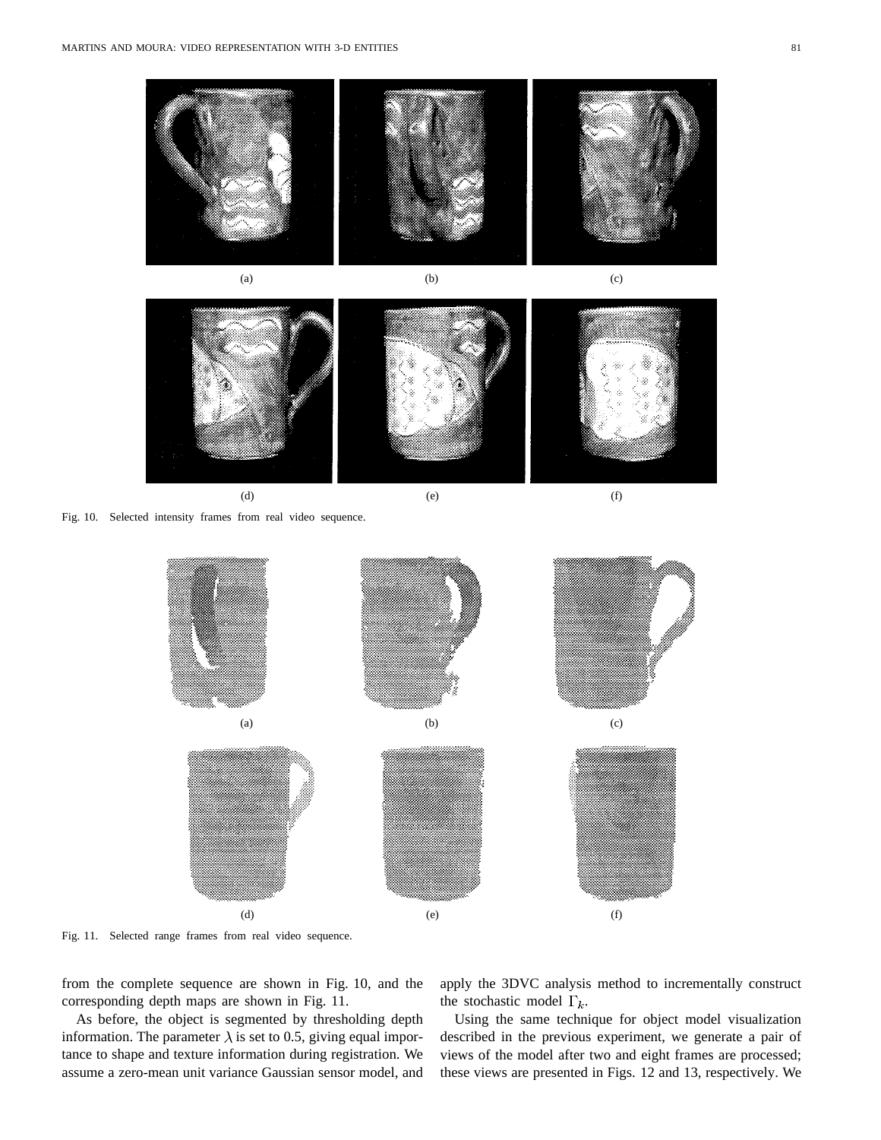

Fig. 10. Selected intensity frames from real video sequence.



Fig. 11. Selected range frames from real video sequence.

from the complete sequence are shown in Fig. 10, and the corresponding depth maps are shown in Fig. 11.

As before, the object is segmented by thresholding depth information. The parameter  $\lambda$  is set to 0.5, giving equal importance to shape and texture information during registration. We assume a zero-mean unit variance Gaussian sensor model, and

apply the 3DVC analysis method to incrementally construct the stochastic model  $\Gamma_k$ .

Using the same technique for object model visualization described in the previous experiment, we generate a pair of views of the model after two and eight frames are processed; these views are presented in Figs. 12 and 13, respectively. We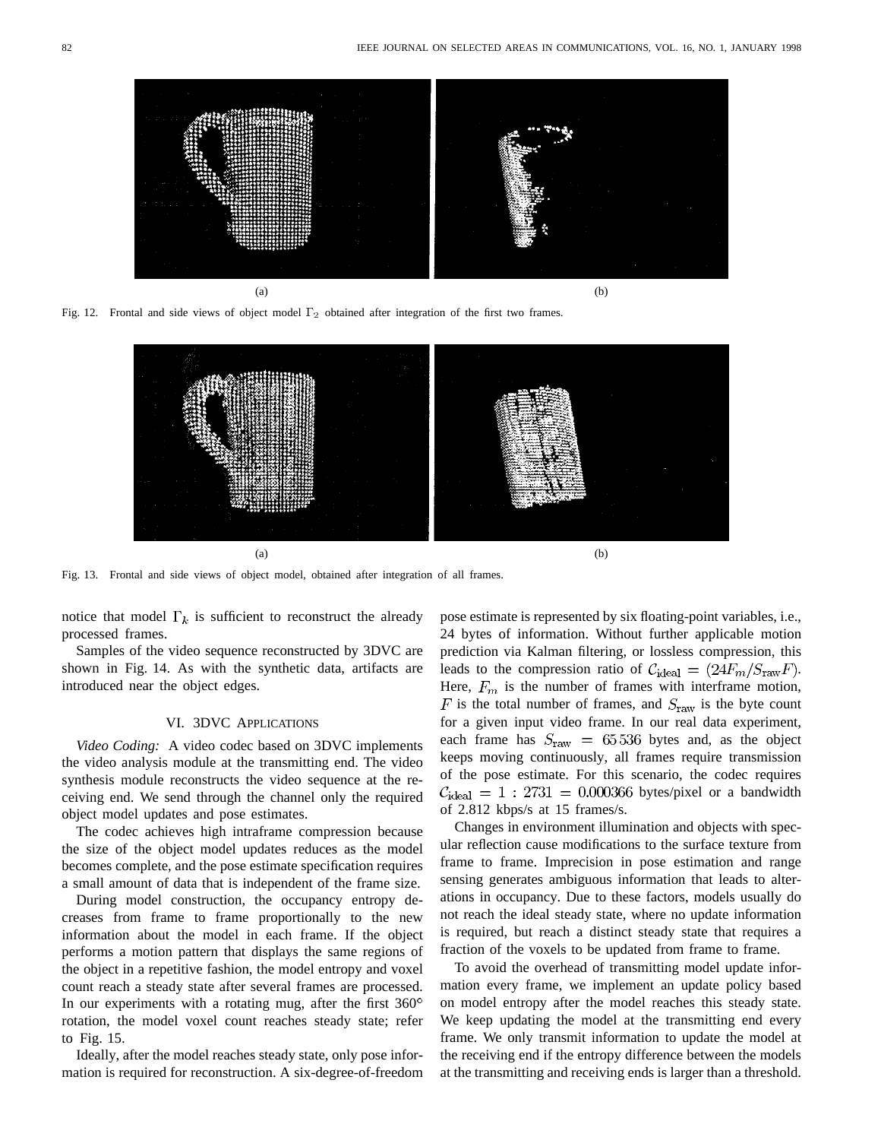





Fig. 13. Frontal and side views of object model, obtained after integration of all frames.

notice that model  $\Gamma_k$  is sufficient to reconstruct the already processed frames.

Samples of the video sequence reconstructed by 3DVC are shown in Fig. 14. As with the synthetic data, artifacts are introduced near the object edges.

# VI. 3DVC APPLICATIONS

*Video Coding:* A video codec based on 3DVC implements the video analysis module at the transmitting end. The video synthesis module reconstructs the video sequence at the receiving end. We send through the channel only the required object model updates and pose estimates.

The codec achieves high intraframe compression because the size of the object model updates reduces as the model becomes complete, and the pose estimate specification requires a small amount of data that is independent of the frame size.

During model construction, the occupancy entropy decreases from frame to frame proportionally to the new information about the model in each frame. If the object performs a motion pattern that displays the same regions of the object in a repetitive fashion, the model entropy and voxel count reach a steady state after several frames are processed. In our experiments with a rotating mug, after the first  $360^\circ$ rotation, the model voxel count reaches steady state; refer to Fig. 15.

Ideally, after the model reaches steady state, only pose information is required for reconstruction. A six-degree-of-freedom pose estimate is represented by six floating-point variables, i.e., 24 bytes of information. Without further applicable motion prediction via Kalman filtering, or lossless compression, this leads to the compression ratio of  $C_{\text{ideal}} = (24F_m/S_{\text{raw}}F)$ . Here,  $F_m$  is the number of frames with interframe motion,  $F$  is the total number of frames, and  $S<sub>raw</sub>$  is the byte count for a given input video frame. In our real data experiment, each frame has  $S<sub>raw</sub> = 65536$  bytes and, as the object keeps moving continuously, all frames require transmission of the pose estimate. For this scenario, the codec requires  $C_{\text{ideal}} = 1$ : 2731 = 0.000366 bytes/pixel or a bandwidth of 2.812 kbps/s at 15 frames/s.

Changes in environment illumination and objects with specular reflection cause modifications to the surface texture from frame to frame. Imprecision in pose estimation and range sensing generates ambiguous information that leads to alterations in occupancy. Due to these factors, models usually do not reach the ideal steady state, where no update information is required, but reach a distinct steady state that requires a fraction of the voxels to be updated from frame to frame.

To avoid the overhead of transmitting model update information every frame, we implement an update policy based on model entropy after the model reaches this steady state. We keep updating the model at the transmitting end every frame. We only transmit information to update the model at the receiving end if the entropy difference between the models at the transmitting and receiving ends is larger than a threshold.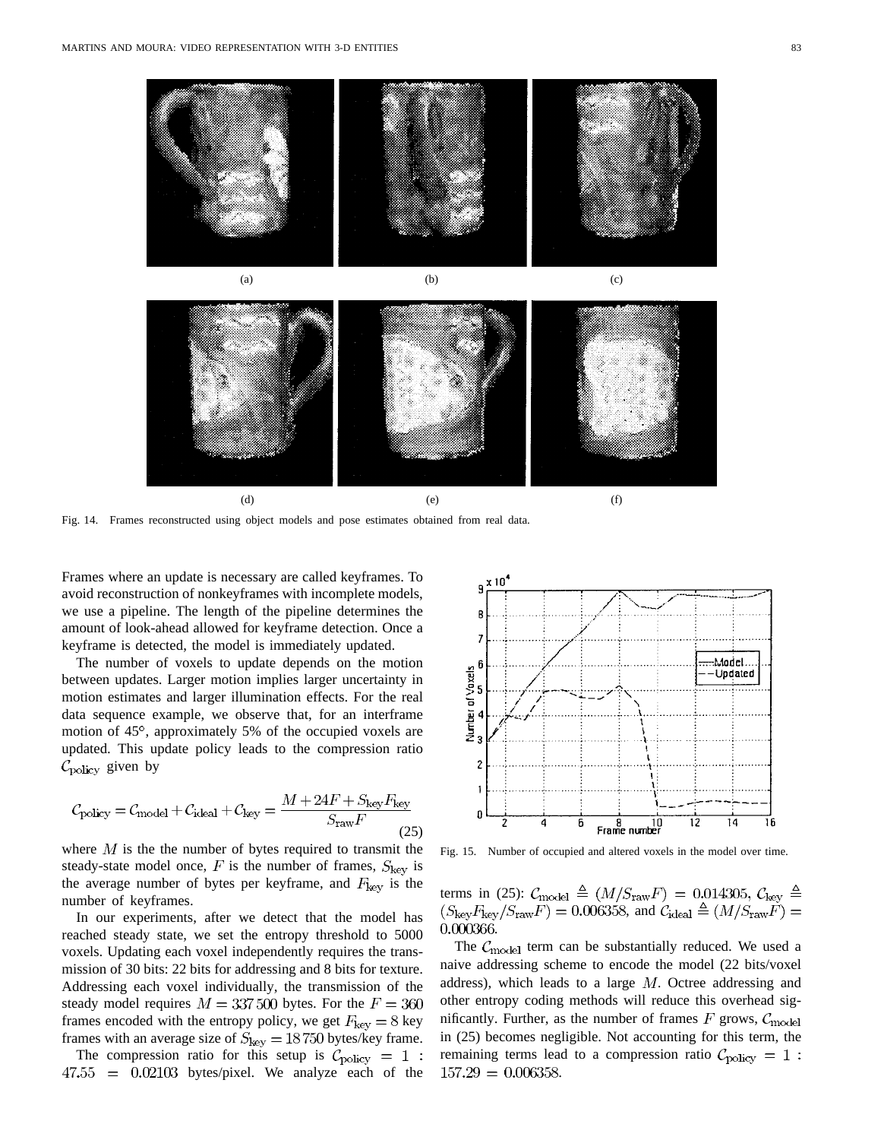

Fig. 14. Frames reconstructed using object models and pose estimates obtained from real data.

Frames where an update is necessary are called keyframes. To avoid reconstruction of nonkeyframes with incomplete models, we use a pipeline. The length of the pipeline determines the amount of look-ahead allowed for keyframe detection. Once a keyframe is detected, the model is immediately updated.

The number of voxels to update depends on the motion between updates. Larger motion implies larger uncertainty in motion estimates and larger illumination effects. For the real data sequence example, we observe that, for an interframe motion of  $45^\circ$ , approximately 5% of the occupied voxels are updated. This update policy leads to the compression ratio  $\mathcal{C}_{\text{policy}}$  given by

$$
C_{\text{policy}} = C_{\text{model}} + C_{\text{ideal}} + C_{\text{key}} = \frac{M + 24F + S_{\text{key}}F_{\text{key}}}{S_{\text{raw}}F}
$$
\n(25)

where  $M$  is the the number of bytes required to transmit the steady-state model once, F is the number of frames,  $S_{\text{key}}$  is the average number of bytes per keyframe, and  $F_{\text{key}}$  is the number of keyframes.

In our experiments, after we detect that the model has reached steady state, we set the entropy threshold to 5000 voxels. Updating each voxel independently requires the transmission of 30 bits: 22 bits for addressing and 8 bits for texture. Addressing each voxel individually, the transmission of the steady model requires  $M = 337500$  bytes. For the  $F = 360$ frames encoded with the entropy policy, we get  $F_{\text{key}} = 8$  key frames with an average size of  $S_{\text{key}} = 18750$  bytes/key frame.

The compression ratio for this setup is  $C_{\text{policy}} = 1$ :  $47.55 = 0.02103$  bytes/pixel. We analyze each of the



Fig. 15. Number of occupied and altered voxels in the model over time.

terms in (25): , and 0.000366.

The  $\mathcal{C}_{\text{model}}$  term can be substantially reduced. We used a naive addressing scheme to encode the model (22 bits/voxel address), which leads to a large  $M$ . Octree addressing and other entropy coding methods will reduce this overhead significantly. Further, as the number of frames  $F$  grows,  $C_{\text{model}}$ in (25) becomes negligible. Not accounting for this term, the remaining terms lead to a compression ratio  $C_{\text{policy}} = 1$ :  $157.29 = 0.006358.$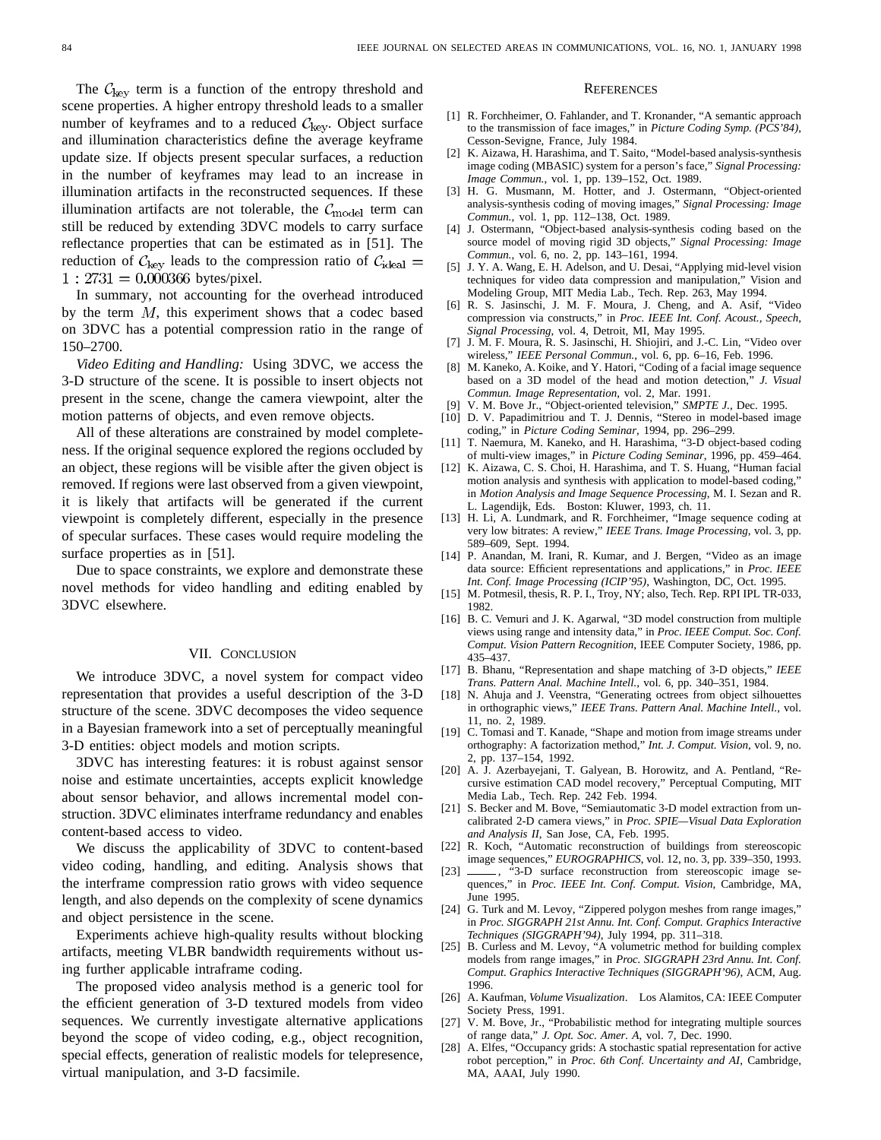The  $C_{\text{kev}}$  term is a function of the entropy threshold and scene properties. A higher entropy threshold leads to a smaller number of keyframes and to a reduced  $C_{\text{key}}$ . Object surface and illumination characteristics define the average keyframe update size. If objects present specular surfaces, a reduction in the number of keyframes may lead to an increase in illumination artifacts in the reconstructed sequences. If these illumination artifacts are not tolerable, the  $\mathcal{C}_{\text{model}}$  term can still be reduced by extending 3DVC models to carry surface reflectance properties that can be estimated as in [51]. The reduction of  $C_{\text{key}}$  leads to the compression ratio of  $C_{\text{ideal}} =$  $1:2731 = 0.000366$  bytes/pixel.

In summary, not accounting for the overhead introduced by the term  $M$ , this experiment shows that a codec based on 3DVC has a potential compression ratio in the range of 150–2700.

*Video Editing and Handling:* Using 3DVC, we access the 3-D structure of the scene. It is possible to insert objects not present in the scene, change the camera viewpoint, alter the motion patterns of objects, and even remove objects.

All of these alterations are constrained by model completeness. If the original sequence explored the regions occluded by an object, these regions will be visible after the given object is removed. If regions were last observed from a given viewpoint, it is likely that artifacts will be generated if the current viewpoint is completely different, especially in the presence of specular surfaces. These cases would require modeling the surface properties as in [51].

Due to space constraints, we explore and demonstrate these novel methods for video handling and editing enabled by 3DVC elsewhere.

#### VII. CONCLUSION

We introduce 3DVC, a novel system for compact video representation that provides a useful description of the 3-D structure of the scene. 3DVC decomposes the video sequence in a Bayesian framework into a set of perceptually meaningful 3-D entities: object models and motion scripts.

3DVC has interesting features: it is robust against sensor noise and estimate uncertainties, accepts explicit knowledge about sensor behavior, and allows incremental model construction. 3DVC eliminates interframe redundancy and enables content-based access to video.

We discuss the applicability of 3DVC to content-based video coding, handling, and editing. Analysis shows that the interframe compression ratio grows with video sequence length, and also depends on the complexity of scene dynamics and object persistence in the scene.

Experiments achieve high-quality results without blocking artifacts, meeting VLBR bandwidth requirements without using further applicable intraframe coding.

The proposed video analysis method is a generic tool for the efficient generation of 3-D textured models from video sequences. We currently investigate alternative applications beyond the scope of video coding, e.g., object recognition, special effects, generation of realistic models for telepresence, virtual manipulation, and 3-D facsimile.

#### **REFERENCES**

- [1] R. Forchheimer, O. Fahlander, and T. Kronander, "A semantic approach to the transmission of face images," in *Picture Coding Symp. (PCS'84)*, Cesson-Sevigne, France, July 1984.
- [2] K. Aizawa, H. Harashima, and T. Saito, "Model-based analysis-synthesis image coding (MBASIC) system for a person's face," *Signal Processing: Image Commun.*, vol. 1, pp. 139–152, Oct. 1989.
- [3] H. G. Musmann, M. Hotter, and J. Ostermann, "Object-oriented analysis-synthesis coding of moving images," *Signal Processing: Image Commun.*, vol. 1, pp. 112–138, Oct. 1989.
- [4] J. Ostermann, "Object-based analysis-synthesis coding based on the source model of moving rigid 3D objects," *Signal Processing: Image Commun.*, vol. 6, no. 2, pp. 143–161, 1994.
- [5] J. Y. A. Wang, E. H. Adelson, and U. Desai, "Applying mid-level vision techniques for video data compression and manipulation," Vision and Modeling Group, MIT Media Lab., Tech. Rep. 263, May 1994.
- [6] R. S. Jasinschi, J. M. F. Moura, J. Cheng, and A. Asif, "Video compression via constructs," in *Proc. IEEE Int. Conf. Acoust., Speech, Signal Processing*, vol. 4, Detroit, MI, May 1995.
- [7] J. M. F. Moura, R. S. Jasinschi, H. Shiojiri, and J.-C. Lin, "Video over wireless," *IEEE Personal Commun.*, vol. 6, pp. 6–16, Feb. 1996.
- [8] M. Kaneko, A. Koike, and Y. Hatori, "Coding of a facial image sequence based on a 3D model of the head and motion detection," *J. Visual*
- *Commun. Image Representation*, vol. 2, Mar. 1991. [9] V. M. Bove Jr., "Object-oriented television," *SMPTE J.*, Dec. 1995.
- [10] D. V. Papadimitriou and T. J. Dennis, "Stereo in model-based image
- coding," in *Picture Coding Seminar*, 1994, pp. 296–299. [11] T. Naemura, M. Kaneko, and H. Harashima, "3-D object-based coding
- of multi-view images," in *Picture Coding Seminar*, 1996, pp. 459–464. [12] K. Aizawa, C. S. Choi, H. Harashima, and T. S. Huang, "Human facial
- motion analysis and synthesis with application to model-based coding," in *Motion Analysis and Image Sequence Processing*, M. I. Sezan and R. L. Lagendijk, Eds. Boston: Kluwer, 1993, ch. 11.
- [13] H. Li, A. Lundmark, and R. Forchheimer, "Image sequence coding at very low bitrates: A review," *IEEE Trans. Image Processing*, vol. 3, pp. 589–609, Sept. 1994.
- [14] P. Anandan, M. Irani, R. Kumar, and J. Bergen, "Video as an image data source: Efficient representations and applications," in *Proc. IEEE Int. Conf. Image Processing (ICIP'95)*, Washington, DC, Oct. 1995.
- [15] M. Potmesil, thesis, R. P. I., Troy, NY; also, Tech. Rep. RPI IPL TR-033, 1982.
- [16] B. C. Vemuri and J. K. Agarwal, "3D model construction from multiple views using range and intensity data," in *Proc. IEEE Comput. Soc. Conf. Comput. Vision Pattern Recognition*, IEEE Computer Society, 1986, pp. 435–437.
- [17] B. Bhanu, "Representation and shape matching of 3-D objects," *IEEE Trans. Pattern Anal. Machine Intell.*, vol. 6, pp. 340–351, 1984.
- [18] N. Ahuja and J. Veenstra, "Generating octrees from object silhouettes in orthographic views," *IEEE Trans. Pattern Anal. Machine Intell.*, vol. 11, no. 2, 1989.
- [19] C. Tomasi and T. Kanade, "Shape and motion from image streams under orthography: A factorization method," *Int. J. Comput. Vision*, vol. 9, no. 2, pp. 137–154, 1992.
- [20] A. J. Azerbayejani, T. Galyean, B. Horowitz, and A. Pentland, "Recursive estimation CAD model recovery," Perceptual Computing, MIT Media Lab., Tech. Rep. 242 Feb. 1994.
- [21] S. Becker and M. Bove, "Semiautomatic 3-D model extraction from uncalibrated 2-D camera views," in *Proc. SPIE—Visual Data Exploration and Analysis II*, San Jose, CA, Feb. 1995.
- [22] R. Koch, "Automatic reconstruction of buildings from stereoscopic image sequences," *EUROGRAPHICS*, vol. 12, no. 3, pp. 339–350, 1993.
- [23]  $\frac{1}{\sqrt{3}-1}$ ,  $\frac{1}{\sqrt{3}-1}$  surface reconstruction from stereoscopic image sequences," in *Proc. IEEE Int. Conf. Comput. Vision*, Cambridge, MA, June 1995.
- [24] G. Turk and M. Levoy, "Zippered polygon meshes from range images," in *Proc. SIGGRAPH 21st Annu. Int. Conf. Comput. Graphics Interactive Techniques (SIGGRAPH'94)*, July 1994, pp. 311–318.
- [25] B. Curless and M. Levoy, "A volumetric method for building complex models from range images," in *Proc. SIGGRAPH 23rd Annu. Int. Conf. Comput. Graphics Interactive Techniques (SIGGRAPH'96)*, ACM, Aug. 1996.
- [26] A. Kaufman, *Volume Visualization*. Los Alamitos, CA: IEEE Computer Society Press, 1991.
- [27] V. M. Bove, Jr., "Probabilistic method for integrating multiple sources of range data," *J. Opt. Soc. Amer. A*, vol. 7, Dec. 1990.
- [28] A. Elfes, "Occupancy grids: A stochastic spatial representation for active robot perception," in *Proc. 6th Conf. Uncertainty and AI*, Cambridge, MA, AAAI, July 1990.